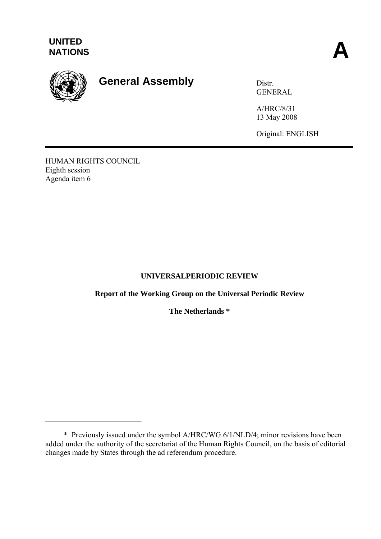

# **General Assembly** Distr.

GENERAL

A/HRC/8/31 13 May 2008

Original: ENGLISH

HUMAN RIGHTS COUNCIL Eighth session Agenda item 6

 $\mathcal{L}_\text{max}$ 

## **UNIVERSALPERIODIC REVIEW**

**Report of the Working Group on the Universal Periodic Review** 

**The Netherlands \*** 

 <sup>\*</sup> Previously issued under the symbol A/HRC/WG.6/1/NLD/4; minor revisions have been added under the authority of the secretariat of the Human Rights Council, on the basis of editorial changes made by States through the ad referendum procedure.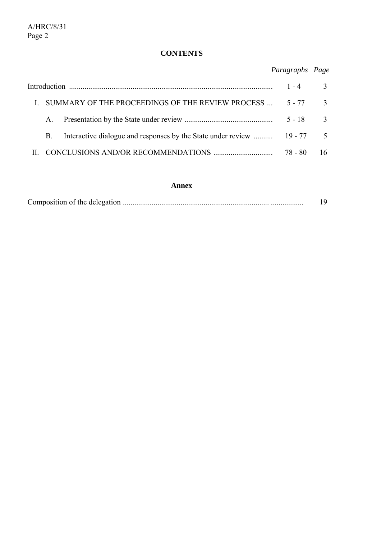## **CONTENTS**

*Paragraphs Page*

| $\mathbf{I}$ | SUMMARY OF THE PROCEEDINGS OF THE REVIEW PROCESS  5 - 77 3 |  |            |    |
|--------------|------------------------------------------------------------|--|------------|----|
|              |                                                            |  | $5 - 18$ 3 |    |
|              | <b>B</b> .                                                 |  |            |    |
|              |                                                            |  | 78 - 80    | 16 |

#### **Annex**

|--|--|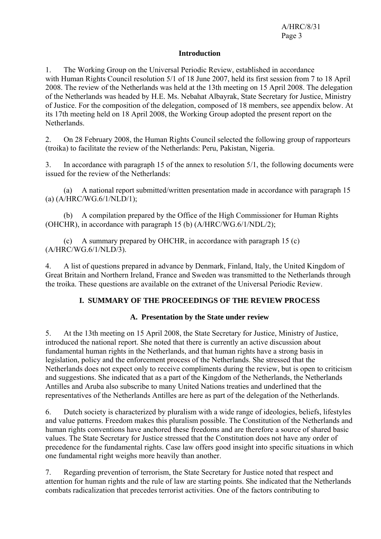#### **Introduction**

1. The Working Group on the Universal Periodic Review, established in accordance with Human Rights Council resolution 5/1 of 18 June 2007, held its first session from 7 to 18 April 2008. The review of the Netherlands was held at the 13th meeting on 15 April 2008. The delegation of the Netherlands was headed by H.E. Ms. Nebahat Albayrak, State Secretary for Justice, Ministry of Justice. For the composition of the delegation, composed of 18 members, see appendix below. At its 17th meeting held on 18 April 2008, the Working Group adopted the present report on the Netherlands.

2. On 28 February 2008, the Human Rights Council selected the following group of rapporteurs (troika) to facilitate the review of the Netherlands: Peru, Pakistan, Nigeria.

3. In accordance with paragraph 15 of the annex to resolution 5/1, the following documents were issued for the review of the Netherlands:

 (a) A national report submitted/written presentation made in accordance with paragraph 15 (a) (A/HRC/WG.6/1/NLD/1);

 (b) A compilation prepared by the Office of the High Commissioner for Human Rights (OHCHR), in accordance with paragraph 15 (b) (A/HRC/WG.6/1/NDL/2);

 (c) A summary prepared by OHCHR, in accordance with paragraph 15 (c) (A/HRC/WG.6/1/NLD/3).

4. A list of questions prepared in advance by Denmark, Finland, Italy, the United Kingdom of Great Britain and Northern Ireland, France and Sweden was transmitted to the Netherlands through the troika. These questions are available on the extranet of the Universal Periodic Review.

## **I. SUMMARY OF THE PROCEEDINGS OF THE REVIEW PROCESS**

#### **A. Presentation by the State under review**

5. At the 13th meeting on 15 April 2008, the State Secretary for Justice, Ministry of Justice, introduced the national report. She noted that there is currently an active discussion about fundamental human rights in the Netherlands, and that human rights have a strong basis in legislation, policy and the enforcement process of the Netherlands. She stressed that the Netherlands does not expect only to receive compliments during the review, but is open to criticism and suggestions. She indicated that as a part of the Kingdom of the Netherlands, the Netherlands Antilles and Aruba also subscribe to many United Nations treaties and underlined that the representatives of the Netherlands Antilles are here as part of the delegation of the Netherlands.

6. Dutch society is characterized by pluralism with a wide range of ideologies, beliefs, lifestyles and value patterns. Freedom makes this pluralism possible. The Constitution of the Netherlands and human rights conventions have anchored these freedoms and are therefore a source of shared basic values. The State Secretary for Justice stressed that the Constitution does not have any order of precedence for the fundamental rights. Case law offers good insight into specific situations in which one fundamental right weighs more heavily than another.

7. Regarding prevention of terrorism, the State Secretary for Justice noted that respect and attention for human rights and the rule of law are starting points. She indicated that the Netherlands combats radicalization that precedes terrorist activities. One of the factors contributing to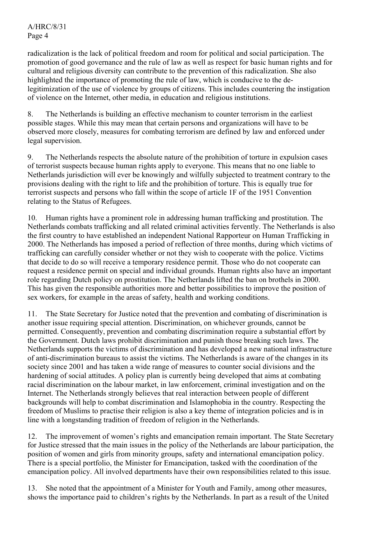A/HRC/8/31 Page 4

radicalization is the lack of political freedom and room for political and social participation. The promotion of good governance and the rule of law as well as respect for basic human rights and for cultural and religious diversity can contribute to the prevention of this radicalization. She also highlighted the importance of promoting the rule of law, which is conducive to the delegitimization of the use of violence by groups of citizens. This includes countering the instigation of violence on the Internet, other media, in education and religious institutions.

8. The Netherlands is building an effective mechanism to counter terrorism in the earliest possible stages. While this may mean that certain persons and organizations will have to be observed more closely, measures for combating terrorism are defined by law and enforced under legal supervision.

9. The Netherlands respects the absolute nature of the prohibition of torture in expulsion cases of terrorist suspects because human rights apply to everyone. This means that no one liable to Netherlands jurisdiction will ever be knowingly and wilfully subjected to treatment contrary to the provisions dealing with the right to life and the prohibition of torture. This is equally true for terrorist suspects and persons who fall within the scope of article 1F of the 1951 Convention relating to the Status of Refugees.

10. Human rights have a prominent role in addressing human trafficking and prostitution. The Netherlands combats trafficking and all related criminal activities fervently. The Netherlands is also the first country to have established an independent National Rapporteur on Human Trafficking in 2000. The Netherlands has imposed a period of reflection of three months, during which victims of trafficking can carefully consider whether or not they wish to cooperate with the police. Victims that decide to do so will receive a temporary residence permit. Those who do not cooperate can request a residence permit on special and individual grounds. Human rights also have an important role regarding Dutch policy on prostitution. The Netherlands lifted the ban on brothels in 2000. This has given the responsible authorities more and better possibilities to improve the position of sex workers, for example in the areas of safety, health and working conditions.

11. The State Secretary for Justice noted that the prevention and combating of discrimination is another issue requiring special attention. Discrimination, on whichever grounds, cannot be permitted. Consequently, prevention and combating discrimination require a substantial effort by the Government. Dutch laws prohibit discrimination and punish those breaking such laws. The Netherlands supports the victims of discrimination and has developed a new national infrastructure of anti-discrimination bureaus to assist the victims. The Netherlands is aware of the changes in its society since 2001 and has taken a wide range of measures to counter social divisions and the hardening of social attitudes. A policy plan is currently being developed that aims at combating racial discrimination on the labour market, in law enforcement, criminal investigation and on the Internet. The Netherlands strongly believes that real interaction between people of different backgrounds will help to combat discrimination and Islamophobia in the country. Respecting the freedom of Muslims to practise their religion is also a key theme of integration policies and is in line with a longstanding tradition of freedom of religion in the Netherlands.

12. The improvement of women's rights and emancipation remain important. The State Secretary for Justice stressed that the main issues in the policy of the Netherlands are labour participation, the position of women and girls from minority groups, safety and international emancipation policy. There is a special portfolio, the Minister for Emancipation, tasked with the coordination of the emancipation policy. All involved departments have their own responsibilities related to this issue.

13. She noted that the appointment of a Minister for Youth and Family, among other measures, shows the importance paid to children's rights by the Netherlands. In part as a result of the United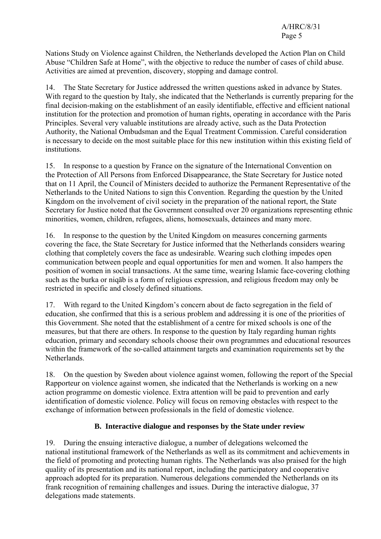Nations Study on Violence against Children, the Netherlands developed the Action Plan on Child Abuse "Children Safe at Home", with the objective to reduce the number of cases of child abuse. Activities are aimed at prevention, discovery, stopping and damage control.

14. The State Secretary for Justice addressed the written questions asked in advance by States. With regard to the question by Italy, she indicated that the Netherlands is currently preparing for the final decision-making on the establishment of an easily identifiable, effective and efficient national institution for the protection and promotion of human rights, operating in accordance with the Paris Principles. Several very valuable institutions are already active, such as the Data Protection Authority, the National Ombudsman and the Equal Treatment Commission. Careful consideration is necessary to decide on the most suitable place for this new institution within this existing field of institutions.

15. In response to a question by France on the signature of the International Convention on the Protection of All Persons from Enforced Disappearance, the State Secretary for Justice noted that on 11 April, the Council of Ministers decided to authorize the Permanent Representative of the Netherlands to the United Nations to sign this Convention. Regarding the question by the United Kingdom on the involvement of civil society in the preparation of the national report, the State Secretary for Justice noted that the Government consulted over 20 organizations representing ethnic minorities, women, children, refugees, aliens, homosexuals, detainees and many more.

16. In response to the question by the United Kingdom on measures concerning garments covering the face, the State Secretary for Justice informed that the Netherlands considers wearing clothing that completely covers the face as undesirable. Wearing such clothing impedes open communication between people and equal opportunities for men and women. It also hampers the position of women in social transactions. At the same time, wearing Islamic face-covering clothing such as the burka or niqāb is a form of religious expression, and religious freedom may only be restricted in specific and closely defined situations.

17. With regard to the United Kingdom's concern about de facto segregation in the field of education, she confirmed that this is a serious problem and addressing it is one of the priorities of this Government. She noted that the establishment of a centre for mixed schools is one of the measures, but that there are others. In response to the question by Italy regarding human rights education, primary and secondary schools choose their own programmes and educational resources within the framework of the so-called attainment targets and examination requirements set by the **Netherlands** 

18. On the question by Sweden about violence against women, following the report of the Special Rapporteur on violence against women, she indicated that the Netherlands is working on a new action programme on domestic violence. Extra attention will be paid to prevention and early identification of domestic violence. Policy will focus on removing obstacles with respect to the exchange of information between professionals in the field of domestic violence.

## **B. Interactive dialogue and responses by the State under review**

19. During the ensuing interactive dialogue, a number of delegations welcomed the national institutional framework of the Netherlands as well as its commitment and achievements in the field of promoting and protecting human rights. The Netherlands was also praised for the high quality of its presentation and its national report, including the participatory and cooperative approach adopted for its preparation. Numerous delegations commended the Netherlands on its frank recognition of remaining challenges and issues. During the interactive dialogue, 37 delegations made statements.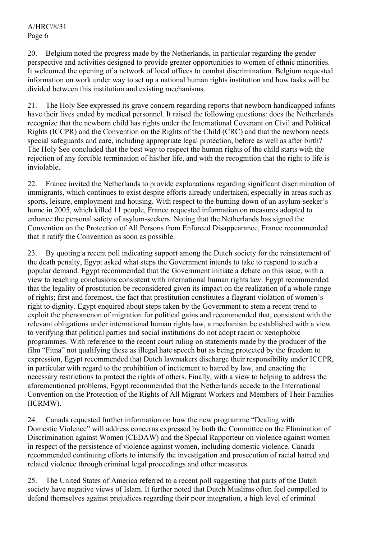20. Belgium noted the progress made by the Netherlands, in particular regarding the gender perspective and activities designed to provide greater opportunities to women of ethnic minorities. It welcomed the opening of a network of local offices to combat discrimination. Belgium requested information on work under way to set up a national human rights institution and how tasks will be divided between this institution and existing mechanisms.

21. The Holy See expressed its grave concern regarding reports that newborn handicapped infants have their lives ended by medical personnel. It raised the following questions: does the Netherlands recognize that the newborn child has rights under the International Covenant on Civil and Political Rights (ICCPR) and the Convention on the Rights of the Child (CRC) and that the newborn needs special safeguards and care, including appropriate legal protection, before as well as after birth? The Holy See concluded that the best way to respect the human rights of the child starts with the rejection of any forcible termination of his/her life, and with the recognition that the right to life is inviolable.

22. France invited the Netherlands to provide explanations regarding significant discrimination of immigrants, which continues to exist despite efforts already undertaken, especially in areas such as sports, leisure, employment and housing. With respect to the burning down of an asylum-seeker's home in 2005, which killed 11 people, France requested information on measures adopted to enhance the personal safety of asylum-seekers. Noting that the Netherlands has signed the Convention on the Protection of All Persons from Enforced Disappearance, France recommended that it ratify the Convention as soon as possible.

23. By quoting a recent poll indicating support among the Dutch society for the reinstatement of the death penalty, Egypt asked what steps the Government intends to take to respond to such a popular demand. Egypt recommended that the Government initiate a debate on this issue, with a view to reaching conclusions consistent with international human rights law. Egypt recommended that the legality of prostitution be reconsidered given its impact on the realization of a whole range of rights; first and foremost, the fact that prostitution constitutes a flagrant violation of women's right to dignity. Egypt enquired about steps taken by the Government to stem a recent trend to exploit the phenomenon of migration for political gains and recommended that, consistent with the relevant obligations under international human rights law, a mechanism be established with a view to verifying that political parties and social institutions do not adopt racist or xenophobic programmes. With reference to the recent court ruling on statements made by the producer of the film "Fitna" not qualifying these as illegal hate speech but as being protected by the freedom to expression, Egypt recommended that Dutch lawmakers discharge their responsibility under ICCPR, in particular with regard to the prohibition of incitement to hatred by law, and enacting the necessary restrictions to protect the rights of others. Finally, with a view to helping to address the aforementioned problems, Egypt recommended that the Netherlands accede to the International Convention on the Protection of the Rights of All Migrant Workers and Members of Their Families (ICRMW).

24. Canada requested further information on how the new programme "Dealing with Domestic Violence" will address concerns expressed by both the Committee on the Elimination of Discrimination against Women (CEDAW) and the Special Rapporteur on violence against women in respect of the persistence of violence against women, including domestic violence. Canada recommended continuing efforts to intensify the investigation and prosecution of racial hatred and related violence through criminal legal proceedings and other measures.

25. The United States of America referred to a recent poll suggesting that parts of the Dutch society have negative views of Islam. It further noted that Dutch Muslims often feel compelled to defend themselves against prejudices regarding their poor integration, a high level of criminal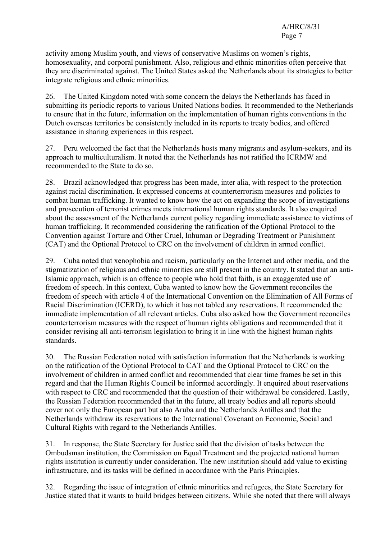activity among Muslim youth, and views of conservative Muslims on women's rights, homosexuality, and corporal punishment. Also, religious and ethnic minorities often perceive that they are discriminated against. The United States asked the Netherlands about its strategies to better integrate religious and ethnic minorities.

26. The United Kingdom noted with some concern the delays the Netherlands has faced in submitting its periodic reports to various United Nations bodies. It recommended to the Netherlands to ensure that in the future, information on the implementation of human rights conventions in the Dutch overseas territories be consistently included in its reports to treaty bodies, and offered assistance in sharing experiences in this respect.

27. Peru welcomed the fact that the Netherlands hosts many migrants and asylum-seekers, and its approach to multiculturalism. It noted that the Netherlands has not ratified the ICRMW and recommended to the State to do so.

28. Brazil acknowledged that progress has been made, inter alia, with respect to the protection against racial discrimination. It expressed concerns at counterterrorism measures and policies to combat human trafficking. It wanted to know how the act on expanding the scope of investigations and prosecution of terrorist crimes meets international human rights standards. It also enquired about the assessment of the Netherlands current policy regarding immediate assistance to victims of human trafficking. It recommended considering the ratification of the Optional Protocol to the Convention against Torture and Other Cruel, Inhuman or Degrading Treatment or Punishment (CAT) and the Optional Protocol to CRC on the involvement of children in armed conflict.

29. Cuba noted that xenophobia and racism, particularly on the Internet and other media, and the stigmatization of religious and ethnic minorities are still present in the country. It stated that an anti-Islamic approach, which is an offence to people who hold that faith, is an exaggerated use of freedom of speech. In this context, Cuba wanted to know how the Government reconciles the freedom of speech with article 4 of the International Convention on the Elimination of All Forms of Racial Discrimination (ICERD), to which it has not tabled any reservations. It recommended the immediate implementation of all relevant articles. Cuba also asked how the Government reconciles counterterrorism measures with the respect of human rights obligations and recommended that it consider revising all anti-terrorism legislation to bring it in line with the highest human rights standards.

30. The Russian Federation noted with satisfaction information that the Netherlands is working on the ratification of the Optional Protocol to CAT and the Optional Protocol to CRC on the involvement of children in armed conflict and recommended that clear time frames be set in this regard and that the Human Rights Council be informed accordingly. It enquired about reservations with respect to CRC and recommended that the question of their withdrawal be considered. Lastly, the Russian Federation recommended that in the future, all treaty bodies and all reports should cover not only the European part but also Aruba and the Netherlands Antilles and that the Netherlands withdraw its reservations to the International Covenant on Economic, Social and Cultural Rights with regard to the Netherlands Antilles.

31. In response, the State Secretary for Justice said that the division of tasks between the Ombudsman institution, the Commission on Equal Treatment and the projected national human rights institution is currently under consideration. The new institution should add value to existing infrastructure, and its tasks will be defined in accordance with the Paris Principles.

32. Regarding the issue of integration of ethnic minorities and refugees, the State Secretary for Justice stated that it wants to build bridges between citizens. While she noted that there will always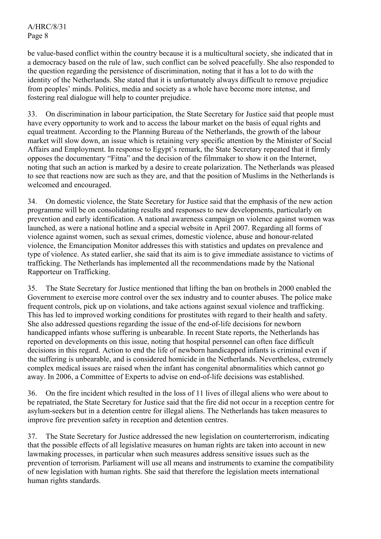A/HRC/8/31 Page 8

be value-based conflict within the country because it is a multicultural society, she indicated that in a democracy based on the rule of law, such conflict can be solved peacefully. She also responded to the question regarding the persistence of discrimination, noting that it has a lot to do with the identity of the Netherlands. She stated that it is unfortunately always difficult to remove prejudice from peoples' minds. Politics, media and society as a whole have become more intense, and fostering real dialogue will help to counter prejudice.

33. On discrimination in labour participation, the State Secretary for Justice said that people must have every opportunity to work and to access the labour market on the basis of equal rights and equal treatment. According to the Planning Bureau of the Netherlands, the growth of the labour market will slow down, an issue which is retaining very specific attention by the Minister of Social Affairs and Employment. In response to Egypt's remark, the State Secretary repeated that it firmly opposes the documentary "Fitna" and the decision of the filmmaker to show it on the Internet, noting that such an action is marked by a desire to create polarization. The Netherlands was pleased to see that reactions now are such as they are, and that the position of Muslims in the Netherlands is welcomed and encouraged.

34. On domestic violence, the State Secretary for Justice said that the emphasis of the new action programme will be on consolidating results and responses to new developments, particularly on prevention and early identification. A national awareness campaign on violence against women was launched, as were a national hotline and a special website in April 2007. Regarding all forms of violence against women, such as sexual crimes, domestic violence, abuse and honour-related violence, the Emancipation Monitor addresses this with statistics and updates on prevalence and type of violence. As stated earlier, she said that its aim is to give immediate assistance to victims of trafficking. The Netherlands has implemented all the recommendations made by the National Rapporteur on Trafficking.

35. The State Secretary for Justice mentioned that lifting the ban on brothels in 2000 enabled the Government to exercise more control over the sex industry and to counter abuses. The police make frequent controls, pick up on violations, and take actions against sexual violence and trafficking. This has led to improved working conditions for prostitutes with regard to their health and safety. She also addressed questions regarding the issue of the end-of-life decisions for newborn handicapped infants whose suffering is unbearable. In recent State reports, the Netherlands has reported on developments on this issue, noting that hospital personnel can often face difficult decisions in this regard. Action to end the life of newborn handicapped infants is criminal even if the suffering is unbearable, and is considered homicide in the Netherlands. Nevertheless, extremely complex medical issues are raised when the infant has congenital abnormalities which cannot go away. In 2006, a Committee of Experts to advise on end-of-life decisions was established.

36. On the fire incident which resulted in the loss of 11 lives of illegal aliens who were about to be repatriated, the State Secretary for Justice said that the fire did not occur in a reception centre for asylum-seekers but in a detention centre for illegal aliens. The Netherlands has taken measures to improve fire prevention safety in reception and detention centres.

37. The State Secretary for Justice addressed the new legislation on counterterrorism, indicating that the possible effects of all legislative measures on human rights are taken into account in new lawmaking processes, in particular when such measures address sensitive issues such as the prevention of terrorism. Parliament will use all means and instruments to examine the compatibility of new legislation with human rights. She said that therefore the legislation meets international human rights standards.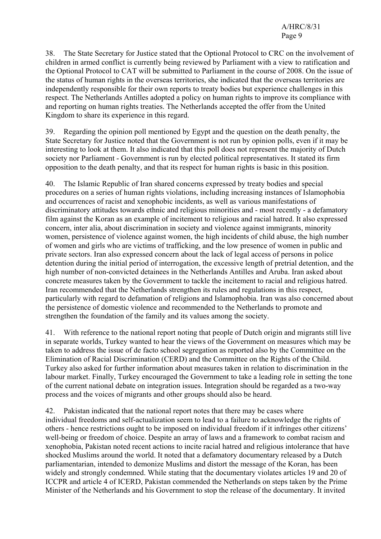38. The State Secretary for Justice stated that the Optional Protocol to CRC on the involvement of children in armed conflict is currently being reviewed by Parliament with a view to ratification and the Optional Protocol to CAT will be submitted to Parliament in the course of 2008. On the issue of the status of human rights in the overseas territories, she indicated that the overseas territories are independently responsible for their own reports to treaty bodies but experience challenges in this respect. The Netherlands Antilles adopted a policy on human rights to improve its compliance with and reporting on human rights treaties. The Netherlands accepted the offer from the United Kingdom to share its experience in this regard.

39. Regarding the opinion poll mentioned by Egypt and the question on the death penalty, the State Secretary for Justice noted that the Government is not run by opinion polls, even if it may be interesting to look at them. It also indicated that this poll does not represent the majority of Dutch society nor Parliament - Government is run by elected political representatives. It stated its firm opposition to the death penalty, and that its respect for human rights is basic in this position.

40. The Islamic Republic of Iran shared concerns expressed by treaty bodies and special procedures on a series of human rights violations, including increasing instances of Islamophobia and occurrences of racist and xenophobic incidents, as well as various manifestations of discriminatory attitudes towards ethnic and religious minorities and - most recently - a defamatory film against the Koran as an example of incitement to religious and racial hatred. It also expressed concern, inter alia, about discrimination in society and violence against immigrants, minority women, persistence of violence against women, the high incidents of child abuse, the high number of women and girls who are victims of trafficking, and the low presence of women in public and private sectors. Iran also expressed concern about the lack of legal access of persons in police detention during the initial period of interrogation, the excessive length of pretrial detention, and the high number of non-convicted detainees in the Netherlands Antilles and Aruba. Iran asked about concrete measures taken by the Government to tackle the incitement to racial and religious hatred. Iran recommended that the Netherlands strengthen its rules and regulations in this respect, particularly with regard to defamation of religions and Islamophobia. Iran was also concerned about the persistence of domestic violence and recommended to the Netherlands to promote and strengthen the foundation of the family and its values among the society.

41. With reference to the national report noting that people of Dutch origin and migrants still live in separate worlds, Turkey wanted to hear the views of the Government on measures which may be taken to address the issue of de facto school segregation as reported also by the Committee on the Elimination of Racial Discrimination (CERD) and the Committee on the Rights of the Child. Turkey also asked for further information about measures taken in relation to discrimination in the labour market. Finally, Turkey encouraged the Government to take a leading role in setting the tone of the current national debate on integration issues. Integration should be regarded as a two-way process and the voices of migrants and other groups should also be heard.

42. Pakistan indicated that the national report notes that there may be cases where individual freedoms and self-actualization seem to lead to a failure to acknowledge the rights of others - hence restrictions ought to be imposed on individual freedom if it infringes other citizens' well-being or freedom of choice. Despite an array of laws and a framework to combat racism and xenophobia, Pakistan noted recent actions to incite racial hatred and religious intolerance that have shocked Muslims around the world. It noted that a defamatory documentary released by a Dutch parliamentarian, intended to demonize Muslims and distort the message of the Koran, has been widely and strongly condemned. While stating that the documentary violates articles 19 and 20 of ICCPR and article 4 of ICERD, Pakistan commended the Netherlands on steps taken by the Prime Minister of the Netherlands and his Government to stop the release of the documentary. It invited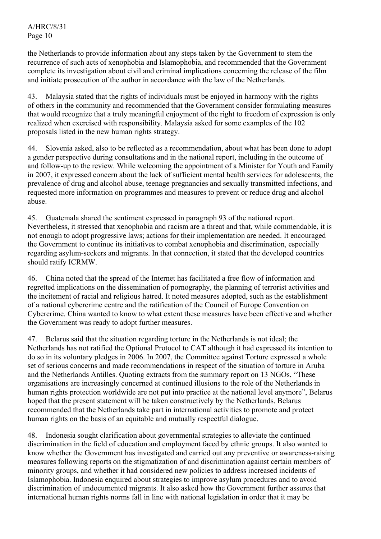A/HRC/8/31 Page 10

the Netherlands to provide information about any steps taken by the Government to stem the recurrence of such acts of xenophobia and Islamophobia, and recommended that the Government complete its investigation about civil and criminal implications concerning the release of the film and initiate prosecution of the author in accordance with the law of the Netherlands.

43. Malaysia stated that the rights of individuals must be enjoyed in harmony with the rights of others in the community and recommended that the Government consider formulating measures that would recognize that a truly meaningful enjoyment of the right to freedom of expression is only realized when exercised with responsibility. Malaysia asked for some examples of the 102 proposals listed in the new human rights strategy.

44. Slovenia asked, also to be reflected as a recommendation, about what has been done to adopt a gender perspective during consultations and in the national report, including in the outcome of and follow-up to the review. While welcoming the appointment of a Minister for Youth and Family in 2007, it expressed concern about the lack of sufficient mental health services for adolescents, the prevalence of drug and alcohol abuse, teenage pregnancies and sexually transmitted infections, and requested more information on programmes and measures to prevent or reduce drug and alcohol abuse.

45. Guatemala shared the sentiment expressed in paragraph 93 of the national report. Nevertheless, it stressed that xenophobia and racism are a threat and that, while commendable, it is not enough to adopt progressive laws; actions for their implementation are needed. It encouraged the Government to continue its initiatives to combat xenophobia and discrimination, especially regarding asylum-seekers and migrants. In that connection, it stated that the developed countries should ratify ICRMW.

46. China noted that the spread of the Internet has facilitated a free flow of information and regretted implications on the dissemination of pornography, the planning of terrorist activities and the incitement of racial and religious hatred. It noted measures adopted, such as the establishment of a national cybercrime centre and the ratification of the Council of Europe Convention on Cybercrime. China wanted to know to what extent these measures have been effective and whether the Government was ready to adopt further measures.

47. Belarus said that the situation regarding torture in the Netherlands is not ideal; the Netherlands has not ratified the Optional Protocol to CAT although it had expressed its intention to do so in its voluntary pledges in 2006. In 2007, the Committee against Torture expressed a whole set of serious concerns and made recommendations in respect of the situation of torture in Aruba and the Netherlands Antilles. Quoting extracts from the summary report on 13 NGOs, "These organisations are increasingly concerned at continued illusions to the role of the Netherlands in human rights protection worldwide are not put into practice at the national level anymore", Belarus hoped that the present statement will be taken constructively by the Netherlands. Belarus recommended that the Netherlands take part in international activities to promote and protect human rights on the basis of an equitable and mutually respectful dialogue.

48. Indonesia sought clarification about governmental strategies to alleviate the continued discrimination in the field of education and employment faced by ethnic groups. It also wanted to know whether the Government has investigated and carried out any preventive or awareness-raising measures following reports on the stigmatization of and discrimination against certain members of minority groups, and whether it had considered new policies to address increased incidents of Islamophobia. Indonesia enquired about strategies to improve asylum procedures and to avoid discrimination of undocumented migrants. It also asked how the Government further assures that international human rights norms fall in line with national legislation in order that it may be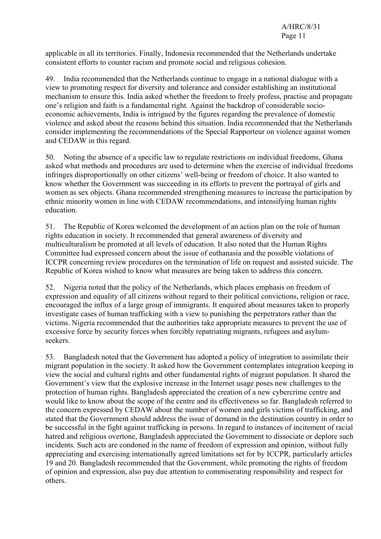applicable in all its territories. Finally, Indonesia recommended that the Netherlands undertake consistent efforts to counter racism and promote social and religious cohesion.

49. India recommended that the Netherlands continue to engage in a national dialogue with a view to promoting respect for diversity and tolerance and consider establishing an institutional mechanism to ensure this. India asked whether the freedom to freely profess, practise and propagate one's religion and faith is a fundamental right. Against the backdrop of considerable socioeconomic achievements, India is intrigued by the figures regarding the prevalence of domestic violence and asked about the reasons behind this situation. India recommended that the Netherlands consider implementing the recommendations of the Special Rapporteur on violence against women and CEDAW in this regard.

50. Noting the absence of a specific law to regulate restrictions on individual freedoms, Ghana asked what methods and procedures are used to determine when the exercise of individual freedoms infringes disproportionally on other citizens' well-being or freedom of choice. It also wanted to know whether the Government was succeeding in its efforts to prevent the portrayal of girls and women as sex objects. Ghana recommended strengthening measures to increase the participation by ethnic minority women in line with CEDAW recommendations, and intensifying human rights education.

51. The Republic of Korea welcomed the development of an action plan on the role of human rights education in society. It recommended that general awareness of diversity and multiculturalism be promoted at all levels of education. It also noted that the Human Rights Committee had expressed concern about the issue of euthanasia and the possible violations of ICCPR concerning review procedures on the termination of life on request and assisted suicide. The Republic of Korea wished to know what measures are being taken to address this concern.

52. Nigeria noted that the policy of the Netherlands, which places emphasis on freedom of expression and equality of all citizens without regard to their political convictions, religion or race, encouraged the influx of a large group of immigrants. It enquired about measures taken to properly investigate cases of human trafficking with a view to punishing the perpetrators rather than the victims. Nigeria recommended that the authorities take appropriate measures to prevent the use of excessive force by security forces when forcibly repatriating migrants, refugees and asylumseekers.

53. Bangladesh noted that the Government has adopted a policy of integration to assimilate their migrant population in the society. It asked how the Government contemplates integration keeping in view the social and cultural rights and other fundamental rights of migrant population. It shared the Government's view that the explosive increase in the Internet usage poses new challenges to the protection of human rights. Bangladesh appreciated the creation of a new cybercrime centre and would like to know about the scope of the centre and its effectiveness so far. Bangladesh referred to the concern expressed by CEDAW about the number of women and girls victims of trafficking, and stated that the Government should address the issue of demand in the destination country in order to be successful in the fight against trafficking in persons. In regard to instances of incitement of racial hatred and religious overtone, Bangladesh appreciated the Government to dissociate or deplore such incidents. Such acts are condoned in the name of freedom of expression and opinion, without fully appreciating and exercising internationally agreed limitations set for by ICCPR, particularly articles 19 and 20. Bangladesh recommended that the Government, while promoting the rights of freedom of opinion and expression, also pay due attention to commiserating responsibility and respect for others.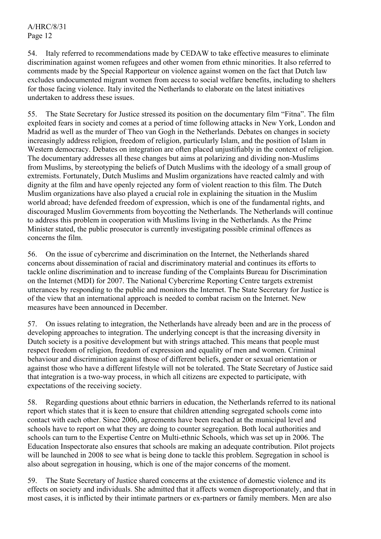54. Italy referred to recommendations made by CEDAW to take effective measures to eliminate discrimination against women refugees and other women from ethnic minorities. It also referred to comments made by the Special Rapporteur on violence against women on the fact that Dutch law excludes undocumented migrant women from access to social welfare benefits, including to shelters for those facing violence. Italy invited the Netherlands to elaborate on the latest initiatives undertaken to address these issues.

55. The State Secretary for Justice stressed its position on the documentary film "Fitna". The film exploited fears in society and comes at a period of time following attacks in New York, London and Madrid as well as the murder of Theo van Gogh in the Netherlands. Debates on changes in society increasingly address religion, freedom of religion, particularly Islam, and the position of Islam in Western democracy. Debates on integration are often placed unjustifiably in the context of religion. The documentary addresses all these changes but aims at polarizing and dividing non-Muslims from Muslims, by stereotyping the beliefs of Dutch Muslims with the ideology of a small group of extremists. Fortunately, Dutch Muslims and Muslim organizations have reacted calmly and with dignity at the film and have openly rejected any form of violent reaction to this film. The Dutch Muslim organizations have also played a crucial role in explaining the situation in the Muslim world abroad; have defended freedom of expression, which is one of the fundamental rights, and discouraged Muslim Governments from boycotting the Netherlands. The Netherlands will continue to address this problem in cooperation with Muslims living in the Netherlands. As the Prime Minister stated, the public prosecutor is currently investigating possible criminal offences as concerns the film.

56. On the issue of cybercrime and discrimination on the Internet, the Netherlands shared concerns about dissemination of racial and discriminatory material and continues its efforts to tackle online discrimination and to increase funding of the Complaints Bureau for Discrimination on the Internet (MDI) for 2007. The National Cybercrime Reporting Centre targets extremist utterances by responding to the public and monitors the Internet. The State Secretary for Justice is of the view that an international approach is needed to combat racism on the Internet. New measures have been announced in December.

57. On issues relating to integration, the Netherlands have already been and are in the process of developing approaches to integration. The underlying concept is that the increasing diversity in Dutch society is a positive development but with strings attached. This means that people must respect freedom of religion, freedom of expression and equality of men and women. Criminal behaviour and discrimination against those of different beliefs, gender or sexual orientation or against those who have a different lifestyle will not be tolerated. The State Secretary of Justice said that integration is a two-way process, in which all citizens are expected to participate, with expectations of the receiving society.

58. Regarding questions about ethnic barriers in education, the Netherlands referred to its national report which states that it is keen to ensure that children attending segregated schools come into contact with each other. Since 2006, agreements have been reached at the municipal level and schools have to report on what they are doing to counter segregation. Both local authorities and schools can turn to the Expertise Centre on Multi-ethnic Schools, which was set up in 2006. The Education Inspectorate also ensures that schools are making an adequate contribution. Pilot projects will be launched in 2008 to see what is being done to tackle this problem. Segregation in school is also about segregation in housing, which is one of the major concerns of the moment.

59. The State Secretary of Justice shared concerns at the existence of domestic violence and its effects on society and individuals. She admitted that it affects women disproportionately, and that in most cases, it is inflicted by their intimate partners or ex-partners or family members. Men are also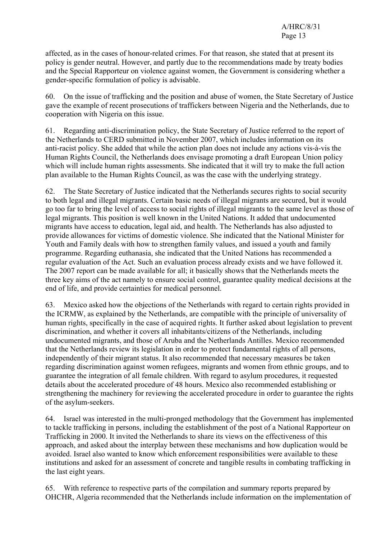affected, as in the cases of honour-related crimes. For that reason, she stated that at present its policy is gender neutral. However, and partly due to the recommendations made by treaty bodies and the Special Rapporteur on violence against women, the Government is considering whether a gender-specific formulation of policy is advisable.

60. On the issue of trafficking and the position and abuse of women, the State Secretary of Justice gave the example of recent prosecutions of traffickers between Nigeria and the Netherlands, due to cooperation with Nigeria on this issue.

61. Regarding anti-discrimination policy, the State Secretary of Justice referred to the report of the Netherlands to CERD submitted in November 2007, which includes information on its anti-racist policy. She added that while the action plan does not include any actions vis-à-vis the Human Rights Council, the Netherlands does envisage promoting a draft European Union policy which will include human rights assessments. She indicated that it will try to make the full action plan available to the Human Rights Council, as was the case with the underlying strategy.

62. The State Secretary of Justice indicated that the Netherlands secures rights to social security to both legal and illegal migrants. Certain basic needs of illegal migrants are secured, but it would go too far to bring the level of access to social rights of illegal migrants to the same level as those of legal migrants. This position is well known in the United Nations. It added that undocumented migrants have access to education, legal aid, and health. The Netherlands has also adjusted to provide allowances for victims of domestic violence. She indicated that the National Minister for Youth and Family deals with how to strengthen family values, and issued a youth and family programme. Regarding euthanasia, she indicated that the United Nations has recommended a regular evaluation of the Act. Such an evaluation process already exists and we have followed it. The 2007 report can be made available for all; it basically shows that the Netherlands meets the three key aims of the act namely to ensure social control, guarantee quality medical decisions at the end of life, and provide certainties for medical personnel.

63. Mexico asked how the objections of the Netherlands with regard to certain rights provided in the ICRMW, as explained by the Netherlands, are compatible with the principle of universality of human rights, specifically in the case of acquired rights. It further asked about legislation to prevent discrimination, and whether it covers all inhabitants/citizens of the Netherlands, including undocumented migrants, and those of Aruba and the Netherlands Antilles. Mexico recommended that the Netherlands review its legislation in order to protect fundamental rights of all persons, independently of their migrant status. It also recommended that necessary measures be taken regarding discrimination against women refugees, migrants and women from ethnic groups, and to guarantee the integration of all female children. With regard to asylum procedures, it requested details about the accelerated procedure of 48 hours. Mexico also recommended establishing or strengthening the machinery for reviewing the accelerated procedure in order to guarantee the rights of the asylum-seekers.

64. Israel was interested in the multi-pronged methodology that the Government has implemented to tackle trafficking in persons, including the establishment of the post of a National Rapporteur on Trafficking in 2000. It invited the Netherlands to share its views on the effectiveness of this approach, and asked about the interplay between these mechanisms and how duplication would be avoided. Israel also wanted to know which enforcement responsibilities were available to these institutions and asked for an assessment of concrete and tangible results in combating trafficking in the last eight years.

65. With reference to respective parts of the compilation and summary reports prepared by OHCHR, Algeria recommended that the Netherlands include information on the implementation of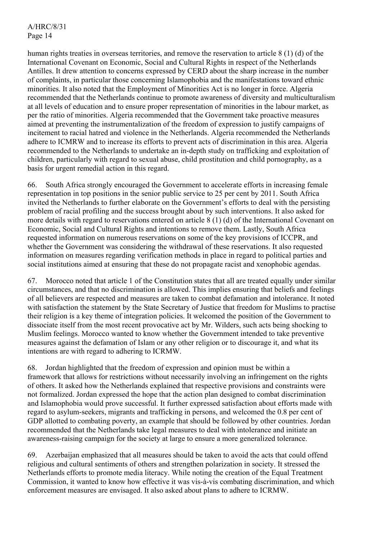human rights treaties in overseas territories, and remove the reservation to article 8 (1) (d) of the International Covenant on Economic, Social and Cultural Rights in respect of the Netherlands Antilles. It drew attention to concerns expressed by CERD about the sharp increase in the number of complaints, in particular those concerning Islamophobia and the manifestations toward ethnic minorities. It also noted that the Employment of Minorities Act is no longer in force. Algeria recommended that the Netherlands continue to promote awareness of diversity and multiculturalism at all levels of education and to ensure proper representation of minorities in the labour market, as per the ratio of minorities. Algeria recommended that the Government take proactive measures aimed at preventing the instrumentalization of the freedom of expression to justify campaigns of incitement to racial hatred and violence in the Netherlands. Algeria recommended the Netherlands adhere to ICMRW and to increase its efforts to prevent acts of discrimination in this area. Algeria recommended to the Netherlands to undertake an in-depth study on trafficking and exploitation of children, particularly with regard to sexual abuse, child prostitution and child pornography, as a basis for urgent remedial action in this regard.

66. South Africa strongly encouraged the Government to accelerate efforts in increasing female representation in top positions in the senior public service to 25 per cent by 2011. South Africa invited the Netherlands to further elaborate on the Government's efforts to deal with the persisting problem of racial profiling and the success brought about by such interventions. It also asked for more details with regard to reservations entered on article 8 (1) (d) of the International Covenant on Economic, Social and Cultural Rights and intentions to remove them. Lastly, South Africa requested information on numerous reservations on some of the key provisions of ICCPR, and whether the Government was considering the withdrawal of these reservations. It also requested information on measures regarding verification methods in place in regard to political parties and social institutions aimed at ensuring that these do not propagate racist and xenophobic agendas.

67. Morocco noted that article 1 of the Constitution states that all are treated equally under similar circumstances, and that no discrimination is allowed. This implies ensuring that beliefs and feelings of all believers are respected and measures are taken to combat defamation and intolerance. It noted with satisfaction the statement by the State Secretary of Justice that freedom for Muslims to practise their religion is a key theme of integration policies. It welcomed the position of the Government to dissociate itself from the most recent provocative act by Mr. Wilders, such acts being shocking to Muslim feelings. Morocco wanted to know whether the Government intended to take preventive measures against the defamation of Islam or any other religion or to discourage it, and what its intentions are with regard to adhering to ICRMW.

68. Jordan highlighted that the freedom of expression and opinion must be within a framework that allows for restrictions without necessarily involving an infringement on the rights of others. It asked how the Netherlands explained that respective provisions and constraints were not formalized. Jordan expressed the hope that the action plan designed to combat discrimination and Islamophobia would prove successful. It further expressed satisfaction about efforts made with regard to asylum-seekers, migrants and trafficking in persons, and welcomed the 0.8 per cent of GDP allotted to combating poverty, an example that should be followed by other countries. Jordan recommended that the Netherlands take legal measures to deal with intolerance and initiate an awareness-raising campaign for the society at large to ensure a more generalized tolerance.

69. Azerbaijan emphasized that all measures should be taken to avoid the acts that could offend religious and cultural sentiments of others and strengthen polarization in society. It stressed the Netherlands efforts to promote media literacy. While noting the creation of the Equal Treatment Commission, it wanted to know how effective it was vis-à-vis combating discrimination, and which enforcement measures are envisaged. It also asked about plans to adhere to ICRMW.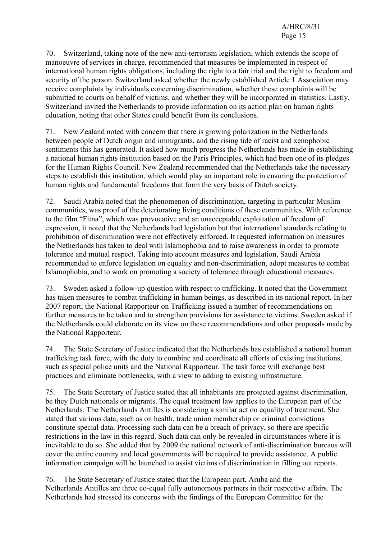70. Switzerland, taking note of the new anti-terrorism legislation, which extends the scope of manoeuvre of services in charge, recommended that measures be implemented in respect of international human rights obligations, including the right to a fair trial and the right to freedom and security of the person. Switzerland asked whether the newly established Article 1 Association may receive complaints by individuals concerning discrimination, whether these complaints will be submitted to courts on behalf of victims, and whether they will be incorporated in statistics. Lastly, Switzerland invited the Netherlands to provide information on its action plan on human rights education, noting that other States could benefit from its conclusions.

71. New Zealand noted with concern that there is growing polarization in the Netherlands between people of Dutch origin and immigrants, and the rising tide of racist and xenophobic sentiments this has generated. It asked how much progress the Netherlands has made in establishing a national human rights institution based on the Paris Principles, which had been one of its pledges for the Human Rights Council. New Zealand recommended that the Netherlands take the necessary steps to establish this institution, which would play an important role in ensuring the protection of human rights and fundamental freedoms that form the very basis of Dutch society.

72. Saudi Arabia noted that the phenomenon of discrimination, targeting in particular Muslim communities, was proof of the deteriorating living conditions of these communities. With reference to the film "Fitna", which was provocative and an unacceptable exploitation of freedom of expression, it noted that the Netherlands had legislation but that international standards relating to prohibition of discrimination were not effectively enforced. It requested information on measures the Netherlands has taken to deal with Islamophobia and to raise awareness in order to promote tolerance and mutual respect. Taking into account measures and legislation, Saudi Arabia recommended to enforce legislation on equality and non-discrimination, adopt measures to combat Islamophobia, and to work on promoting a society of tolerance through educational measures.

73. Sweden asked a follow-up question with respect to trafficking. It noted that the Government has taken measures to combat trafficking in human beings, as described in its national report. In her 2007 report, the National Rapporteur on Trafficking issued a number of recommendations on further measures to be taken and to strengthen provisions for assistance to victims. Sweden asked if the Netherlands could elaborate on its view on these recommendations and other proposals made by the National Rapporteur.

74. The State Secretary of Justice indicated that the Netherlands has established a national human trafficking task force, with the duty to combine and coordinate all efforts of existing institutions, such as special police units and the National Rapporteur. The task force will exchange best practices and eliminate bottlenecks, with a view to adding to existing infrastructure.

75. The State Secretary of Justice stated that all inhabitants are protected against discrimination, be they Dutch nationals or migrants. The equal treatment law applies to the European part of the Netherlands. The Netherlands Antilles is considering a similar act on equality of treatment. She stated that various data, such as on health, trade union membership or criminal convictions constitute special data. Processing such data can be a breach of privacy, so there are specific restrictions in the law in this regard. Such data can only be revealed in circumstances where it is inevitable to do so. She added that by 2009 the national network of anti-discrimination bureaus will cover the entire country and local governments will be required to provide assistance. A public information campaign will be launched to assist victims of discrimination in filling out reports.

76. The State Secretary of Justice stated that the European part, Aruba and the Netherlands Antilles are three co-equal fully autonomous partners in their respective affairs. The Netherlands had stressed its concerns with the findings of the European Committee for the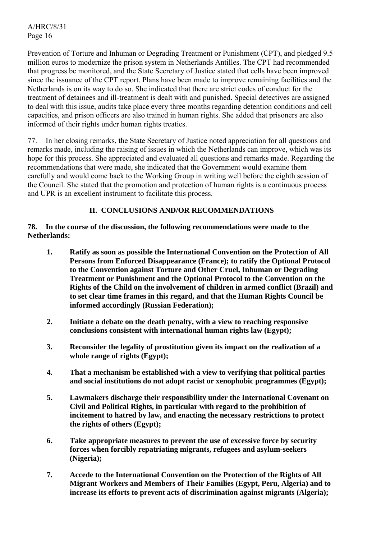Prevention of Torture and Inhuman or Degrading Treatment or Punishment (CPT), and pledged 9.5 million euros to modernize the prison system in Netherlands Antilles. The CPT had recommended that progress be monitored, and the State Secretary of Justice stated that cells have been improved since the issuance of the CPT report. Plans have been made to improve remaining facilities and the Netherlands is on its way to do so. She indicated that there are strict codes of conduct for the treatment of detainees and ill-treatment is dealt with and punished. Special detectives are assigned to deal with this issue, audits take place every three months regarding detention conditions and cell capacities, and prison officers are also trained in human rights. She added that prisoners are also informed of their rights under human rights treaties.

77. In her closing remarks, the State Secretary of Justice noted appreciation for all questions and remarks made, including the raising of issues in which the Netherlands can improve, which was its hope for this process. She appreciated and evaluated all questions and remarks made. Regarding the recommendations that were made, she indicated that the Government would examine them carefully and would come back to the Working Group in writing well before the eighth session of the Council. She stated that the promotion and protection of human rights is a continuous process and UPR is an excellent instrument to facilitate this process.

## **II. CONCLUSIONS AND/OR RECOMMENDATIONS**

## **78. In the course of the discussion, the following recommendations were made to the Netherlands:**

- **1. Ratify as soon as possible the International Convention on the Protection of All Persons from Enforced Disappearance (France); to ratify the Optional Protocol to the Convention against Torture and Other Cruel, Inhuman or Degrading Treatment or Punishment and the Optional Protocol to the Convention on the Rights of the Child on the involvement of children in armed conflict (Brazil) and to set clear time frames in this regard, and that the Human Rights Council be informed accordingly (Russian Federation);**
- **2. Initiate a debate on the death penalty, with a view to reaching responsive conclusions consistent with international human rights law (Egypt);**
- **3. Reconsider the legality of prostitution given its impact on the realization of a whole range of rights (Egypt);**
- **4. That a mechanism be established with a view to verifying that political parties and social institutions do not adopt racist or xenophobic programmes (Egypt);**
- **5. Lawmakers discharge their responsibility under the International Covenant on Civil and Political Rights, in particular with regard to the prohibition of incitement to hatred by law, and enacting the necessary restrictions to protect the rights of others (Egypt);**
- **6. Take appropriate measures to prevent the use of excessive force by security forces when forcibly repatriating migrants, refugees and asylum-seekers (Nigeria);**
- **7. Accede to the International Convention on the Protection of the Rights of All Migrant Workers and Members of Their Families (Egypt, Peru, Algeria) and to increase its efforts to prevent acts of discrimination against migrants (Algeria);**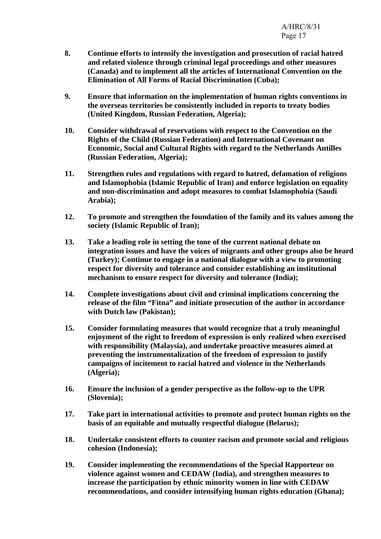- **8. Continue efforts to intensify the investigation and prosecution of racial hatred and related violence through criminal legal proceedings and other measures (Canada) and to implement all the articles of International Convention on the Elimination of All Forms of Racial Discrimination (Cuba);**
- **9. Ensure that information on the implementation of human rights conventions in the overseas territories be consistently included in reports to treaty bodies (United Kingdom, Russian Federation, Algeria);**
- **10. Consider withdrawal of reservations with respect to the Convention on the Rights of the Child (Russian Federation) and International Covenant on Economic, Social and Cultural Rights with regard to the Netherlands Antilles (Russian Federation, Algeria);**
- **11. Strengthen rules and regulations with regard to hatred, defamation of religions and Islamophobia (Islamic Republic of Iran) and enforce legislation on equality and non-discrimination and adopt measures to combat Islamophobia (Saudi Arabia);**
- **12. To promote and strengthen the foundation of the family and its values among the society (Islamic Republic of Iran);**
- **13. Take a leading role in setting the tone of the current national debate on integration issues and have the voices of migrants and other groups also be heard (Turkey); Continue to engage in a national dialogue with a view to promoting respect for diversity and tolerance and consider establishing an institutional mechanism to ensure respect for diversity and tolerance (India);**
- **14. Complete investigations about civil and criminal implications concerning the release of the film "Fitna" and initiate prosecution of the author in accordance with Dutch law (Pakistan);**
- **15. Consider formulating measures that would recognize that a truly meaningful enjoyment of the right to freedom of expression is only realized when exercised with responsibility (Malaysia), and undertake proactive measures aimed at preventing the instrumentalization of the freedom of expression to justify campaigns of incitement to racial hatred and violence in the Netherlands (Algeria);**
- **16. Ensure the inclusion of a gender perspective as the follow-up to the UPR (Slovenia);**
- **17. Take part in international activities to promote and protect human rights on the basis of an equitable and mutually respectful dialogue (Belarus);**
- **18. Undertake consistent efforts to counter racism and promote social and religious cohesion (Indonesia);**
- **19. Consider implementing the recommendations of the Special Rapporteur on violence against women and CEDAW (India), and strengthen measures to increase the participation by ethnic minority women in line with CEDAW recommendations, and consider intensifying human rights education (Ghana);**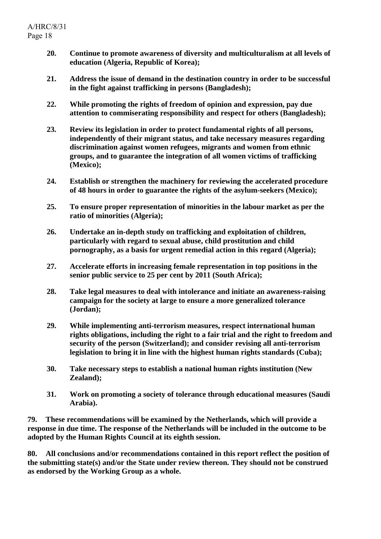- **20. Continue to promote awareness of diversity and multiculturalism at all levels of education (Algeria, Republic of Korea);**
- **21. Address the issue of demand in the destination country in order to be successful in the fight against trafficking in persons (Bangladesh);**
- **22. While promoting the rights of freedom of opinion and expression, pay due attention to commiserating responsibility and respect for others (Bangladesh);**
- **23. Review its legislation in order to protect fundamental rights of all persons, independently of their migrant status, and take necessary measures regarding discrimination against women refugees, migrants and women from ethnic groups, and to guarantee the integration of all women victims of trafficking (Mexico);**
- **24. Establish or strengthen the machinery for reviewing the accelerated procedure of 48 hours in order to guarantee the rights of the asylum-seekers (Mexico);**
- **25. To ensure proper representation of minorities in the labour market as per the ratio of minorities (Algeria);**
- **26. Undertake an in-depth study on trafficking and exploitation of children, particularly with regard to sexual abuse, child prostitution and child pornography, as a basis for urgent remedial action in this regard (Algeria);**
- **27. Accelerate efforts in increasing female representation in top positions in the senior public service to 25 per cent by 2011 (South Africa);**
- **28. Take legal measures to deal with intolerance and initiate an awareness-raising campaign for the society at large to ensure a more generalized tolerance (Jordan);**
- **29. While implementing anti-terrorism measures, respect international human rights obligations, including the right to a fair trial and the right to freedom and security of the person (Switzerland); and consider revising all anti-terrorism legislation to bring it in line with the highest human rights standards (Cuba);**
- **30. Take necessary steps to establish a national human rights institution (New Zealand);**
- **31. Work on promoting a society of tolerance through educational measures (Saudi Arabia).**

**79. These recommendations will be examined by the Netherlands, which will provide a response in due time. The response of the Netherlands will be included in the outcome to be adopted by the Human Rights Council at its eighth session.** 

**80. All conclusions and/or recommendations contained in this report reflect the position of the submitting state(s) and/or the State under review thereon. They should not be construed as endorsed by the Working Group as a whole.**